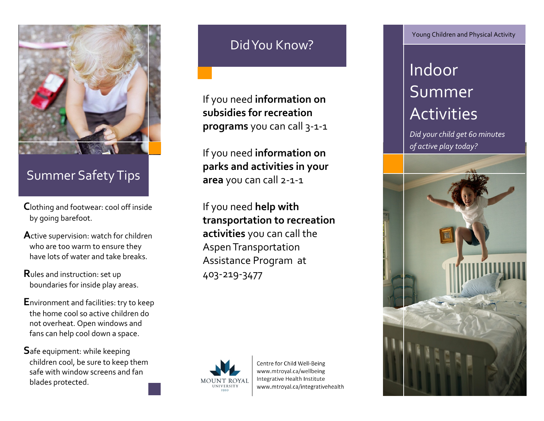

## Summer Safety Tips

- **C**lothing and footwear: cool off inside by going barefoot.
- **A**ctive supervision: watch for children who are too warm to ensure they have lots of water and take breaks.
- **R**ules and instruction: set up boundaries for inside play areas.
- **E**nvironment and facilities: try to keep the home cool so active children do not overheat. Open windows and fans can help cool down a space.
- **S**afe equipment: while keeping children cool, be sure to keep them safe with window screens and fan blades protected.

# Did You Know?

If you need **information on subsidies for recreation programs** you can call 3-1-1

If you need **information on parks and activities in your area** you can call 2-1-1

If you need **help with transportation to recreation activities** you can call the Aspen Transportation Assistance Program at 403-219-3477



Centre for Child Well-Being www.mtroyal.ca/wellbeing Integrative Health Institute www.mtroyal.ca/integrativehealth Young Children and Physical Activity

# Indoor **Summer Activities**

*Did your child get 60 minutes of active play today?*